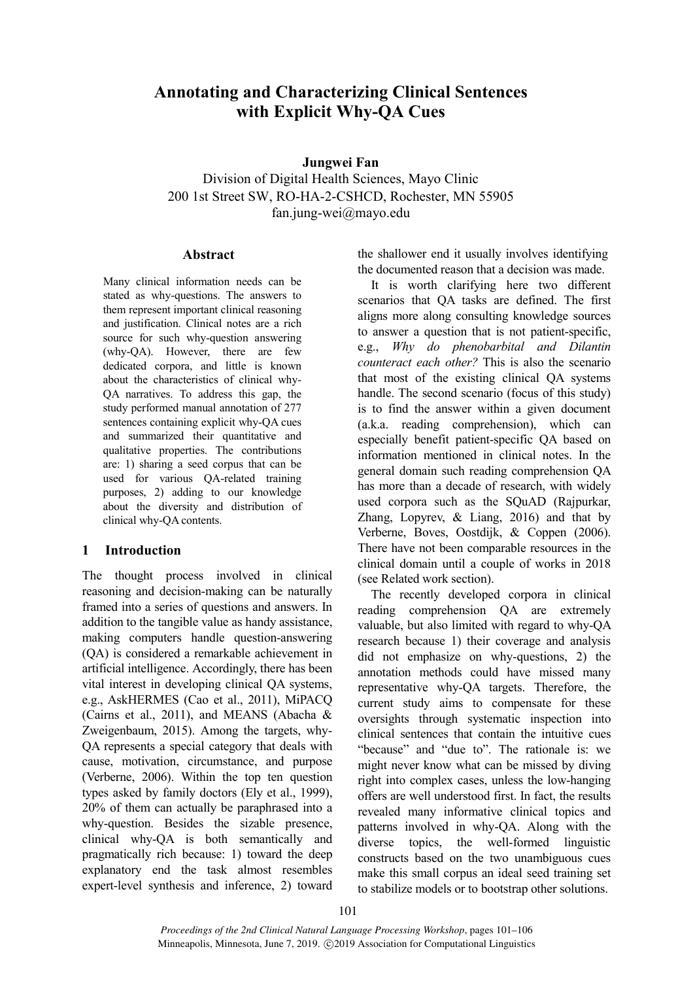# **Annotating and Characterizing Clinical Sentences with Explicit Why-QA Cues**

## **Jungwei Fan**

Division of Digital Health Sciences, Mayo Clinic 200 1st Street SW, RO-HA-2-CSHCD, Rochester, MN 55905 fan.jung-wei@mayo.edu

#### **Abstract**

Many clinical information needs can be stated as why-questions. The answers to them represent important clinical reasoning and justification. Clinical notes are a rich source for such why-question answering (why-QA). However, there are few dedicated corpora, and little is known about the characteristics of clinical why-QA narratives. To address this gap, the study performed manual annotation of 277 sentences containing explicit why-QA cues and summarized their quantitative and qualitative properties. The contributions are: 1) sharing a seed corpus that can be used for various QA-related training purposes, 2) adding to our knowledge about the diversity and distribution of clinical why-QA contents.

## **1 Introduction**

The thought process involved in clinical reasoning and decision-making can be naturally framed into a series of questions and answers. In addition to the tangible value as handy assistance, making computers handle question-answering (QA) is considered a remarkable achievement in artificial intelligence. Accordingly, there has been vital interest in developing clinical QA systems, e.g., AskHERMES (Cao et al., 2011), MiPACQ (Cairns et al., 2011), and MEANS (Abacha & Zweigenbaum, 2015). Among the targets, why-QA represents a special category that deals with cause, motivation, circumstance, and purpose (Verberne, 2006). Within the top ten question types asked by family doctors (Ely et al., 1999), 20% of them can actually be paraphrased into a why-question. Besides the sizable presence, clinical why-QA is both semantically and pragmatically rich because: 1) toward the deep explanatory end the task almost resembles expert-level synthesis and inference, 2) toward the shallower end it usually involves identifying the documented reason that a decision was made.

It is worth clarifying here two different scenarios that QA tasks are defined. The first aligns more along consulting knowledge sources to answer a question that is not patient-specific, e.g., *Why do phenobarbital and Dilantin counteract each other?* This is also the scenario that most of the existing clinical QA systems handle. The second scenario (focus of this study) is to find the answer within a given document (a.k.a. reading comprehension), which can especially benefit patient-specific QA based on information mentioned in clinical notes. In the general domain such reading comprehension QA has more than a decade of research, with widely used corpora such as the SQuAD (Rajpurkar, Zhang, Lopyrev, & Liang, 2016) and that by Verberne, Boves, Oostdijk, & Coppen (2006). There have not been comparable resources in the clinical domain until a couple of works in 2018 (see Related work section).

The recently developed corpora in clinical reading comprehension QA are extremely valuable, but also limited with regard to why-QA research because 1) their coverage and analysis did not emphasize on why-questions, 2) the annotation methods could have missed many representative why-QA targets. Therefore, the current study aims to compensate for these oversights through systematic inspection into clinical sentences that contain the intuitive cues "because" and "due to". The rationale is: we might never know what can be missed by diving right into complex cases, unless the low-hanging offers are well understood first. In fact, the results revealed many informative clinical topics and patterns involved in why-QA. Along with the diverse topics, the well-formed linguistic constructs based on the two unambiguous cues make this small corpus an ideal seed training set to stabilize models or to bootstrap other solutions.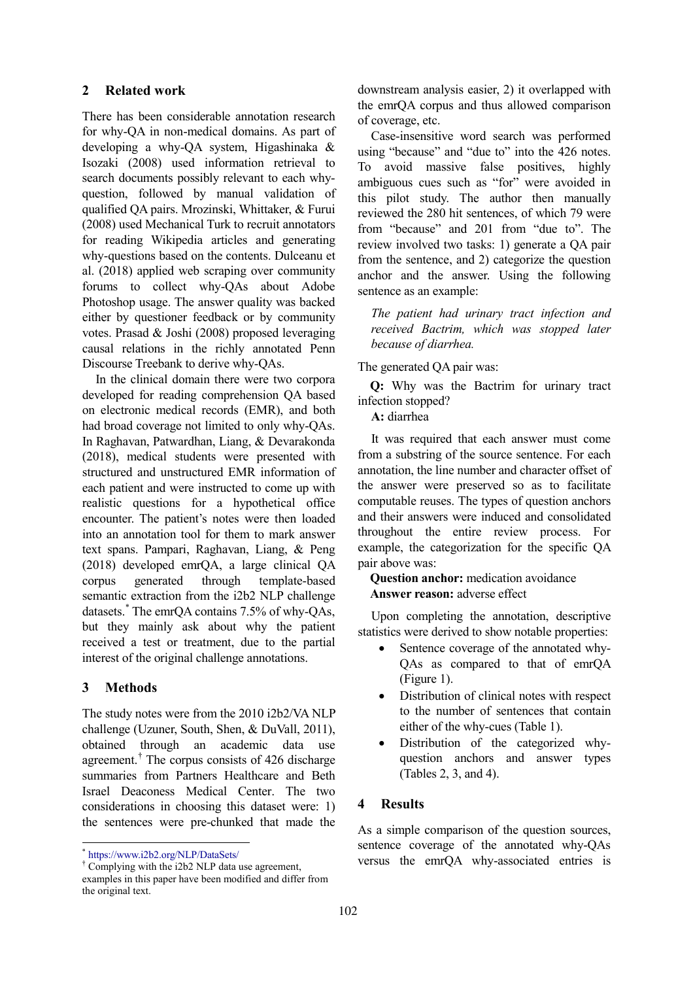## **2 Related work**

There has been considerable annotation research for why-QA in non-medical domains. As part of developing a why-QA system, Higashinaka & Isozaki (2008) used information retrieval to search documents possibly relevant to each whyquestion, followed by manual validation of qualified QA pairs. Mrozinski, Whittaker, & Furui (2008) used Mechanical Turk to recruit annotators for reading Wikipedia articles and generating why-questions based on the contents. Dulceanu et al. (2018) applied web scraping over community forums to collect why-QAs about Adobe Photoshop usage. The answer quality was backed either by questioner feedback or by community votes. Prasad & Joshi (2008) proposed leveraging causal relations in the richly annotated Penn Discourse Treebank to derive why-QAs.

In the clinical domain there were two corpora developed for reading comprehension QA based on electronic medical records (EMR), and both had broad coverage not limited to only why-QAs. In Raghavan, Patwardhan, Liang, & Devarakonda (2018), medical students were presented with structured and unstructured EMR information of each patient and were instructed to come up with realistic questions for a hypothetical office encounter. The patient's notes were then loaded into an annotation tool for them to mark answer text spans. Pampari, Raghavan, Liang, & Peng (2018) developed emrQA, a large clinical QA corpus generated through template-based semantic extraction from the i2b2 NLP challenge datasets. [\\*](#page-1-0) The emrQA contains 7.5% of why-QAs, but they mainly ask about why the patient received a test or treatment, due to the partial interest of the original challenge annotations.

### **3 Methods**

 $\overline{\phantom{a}}$ 

The study notes were from the 2010 i2b2/VA NLP challenge (Uzuner, South, Shen, & DuVall, 2011), obtained through an academic data use agreement.[†](#page-1-1) The corpus consists of 426 discharge summaries from Partners Healthcare and Beth Israel Deaconess Medical Center. The two considerations in choosing this dataset were: 1) the sentences were pre-chunked that made the

\* https://www.i2b2.org/NLP/DataSets/

downstream analysis easier, 2) it overlapped with the emrQA corpus and thus allowed comparison of coverage, etc.

Case-insensitive word search was performed using "because" and "due to" into the 426 notes. To avoid massive false positives, highly ambiguous cues such as "for" were avoided in this pilot study. The author then manually reviewed the 280 hit sentences, of which 79 were from "because" and 201 from "due to". The review involved two tasks: 1) generate a QA pair from the sentence, and 2) categorize the question anchor and the answer. Using the following sentence as an example:

*The patient had urinary tract infection and received Bactrim, which was stopped later because of diarrhea.*

The generated QA pair was:

 **Q:** Why was the Bactrim for urinary tract infection stopped?

**A:** diarrhea

It was required that each answer must come from a substring of the source sentence. For each annotation, the line number and character offset of the answer were preserved so as to facilitate computable reuses. The types of question anchors and their answers were induced and consolidated throughout the entire review process. For example, the categorization for the specific QA pair above was:

 **Question anchor:** medication avoidance **Answer reason:** adverse effect

Upon completing the annotation, descriptive statistics were derived to show notable properties:

- Sentence coverage of the annotated why-QAs as compared to that of emrQA (Figure 1).
- Distribution of clinical notes with respect to the number of sentences that contain either of the why-cues (Table 1).
- Distribution of the categorized whyquestion anchors and answer types (Tables 2, 3, and 4).

#### **4 Results**

As a simple comparison of the question sources, sentence coverage of the annotated why-QAs versus the emrQA why-associated entries is

<span id="page-1-1"></span><span id="page-1-0"></span><sup>†</sup> Complying with the i2b2 NLP data use agreement, examples in this paper have been modified and differ from the original text.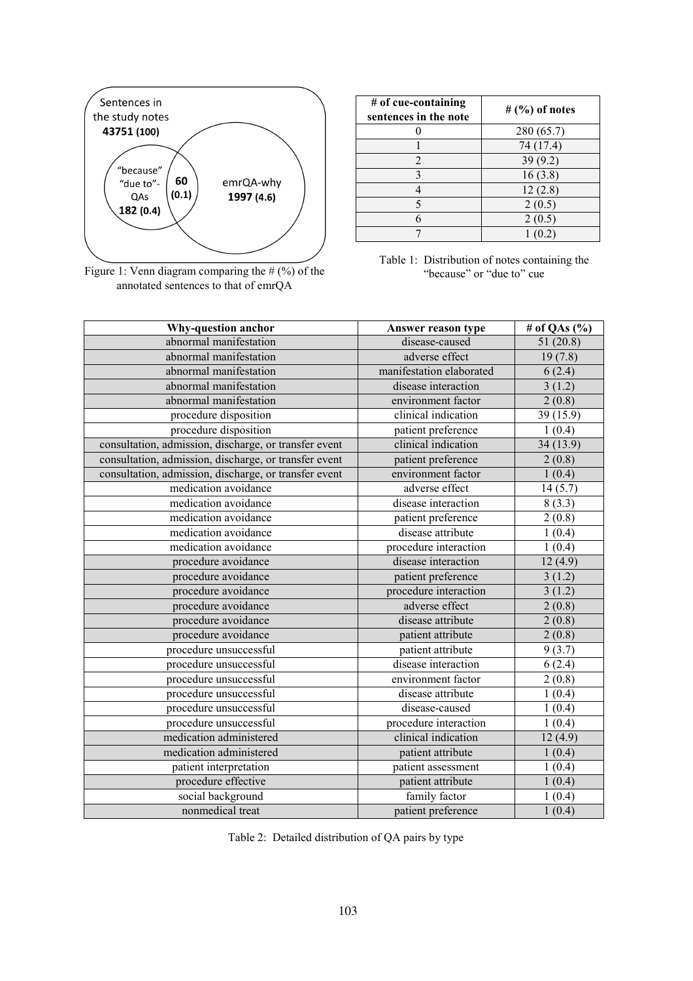

Figure 1: Venn diagram comparing the # (%) of the annotated sentences to that of emrQA

| $#$ of cue-containing<br>sentences in the note | # $(%)$ of notes |
|------------------------------------------------|------------------|
|                                                | 280 (65.7)       |
|                                                | 74 (17.4)        |
| $\overline{c}$                                 | 39(9.2)          |
| 3                                              | 16(3.8)          |
|                                                | 12(2.8)          |
| 5                                              | 2(0.5)           |
| 6                                              | 2(0.5)           |
|                                                |                  |

Table 1: Distribution of notes containing the "because" or "due to" cue

| Why-question anchor                                   | Answer reason type       | # of QAs $(\%$ |
|-------------------------------------------------------|--------------------------|----------------|
| abnormal manifestation                                | disease-caused           | 51(20.8)       |
| abnormal manifestation                                | adverse effect           | 19(7.8)        |
| abnormal manifestation                                | manifestation elaborated | 6(2.4)         |
| abnormal manifestation                                | disease interaction      | 3(1.2)         |
| abnormal manifestation                                | environment factor       | 2(0.8)         |
| procedure disposition                                 | clinical indication      | 39 (15.9)      |
| procedure disposition                                 | patient preference       | 1(0.4)         |
| consultation, admission, discharge, or transfer event | clinical indication      | 34 (13.9)      |
| consultation, admission, discharge, or transfer event | patient preference       | 2(0.8)         |
| consultation, admission, discharge, or transfer event | environment factor       | 1(0.4)         |
| medication avoidance                                  | adverse effect           | 14(5.7)        |
| medication avoidance                                  | disease interaction      | 8(3.3)         |
| medication avoidance                                  | patient preference       | 2(0.8)         |
| medication avoidance                                  | disease attribute        | 1(0.4)         |
| medication avoidance                                  | procedure interaction    | 1(0.4)         |
| procedure avoidance                                   | disease interaction      | 12(4.9)        |
| procedure avoidance                                   | patient preference       | 3(1.2)         |
| procedure avoidance                                   | procedure interaction    | 3(1.2)         |
| procedure avoidance                                   | adverse effect           | 2(0.8)         |
| procedure avoidance                                   | disease attribute        | 2(0.8)         |
| procedure avoidance                                   | patient attribute        | 2(0.8)         |
| procedure unsuccessful                                | patient attribute        | 9(3.7)         |
| procedure unsuccessful                                | disease interaction      | 6(2.4)         |
| procedure unsuccessful                                | environment factor       | 2(0.8)         |
| procedure unsuccessful                                | disease attribute        | 1(0.4)         |
| procedure unsuccessful                                | disease-caused           | 1(0.4)         |
| procedure unsuccessful                                | procedure interaction    | 1(0.4)         |
| medication administered                               | clinical indication      | 12(4.9)        |
| medication administered                               | patient attribute        | 1(0.4)         |
| patient interpretation                                | patient assessment       | 1(0.4)         |
| procedure effective                                   | patient attribute        | 1(0.4)         |
| social background                                     | family factor            | 1(0.4)         |
| nonmedical treat                                      | patient preference       | 1(0.4)         |

Table 2: Detailed distribution of QA pairs by type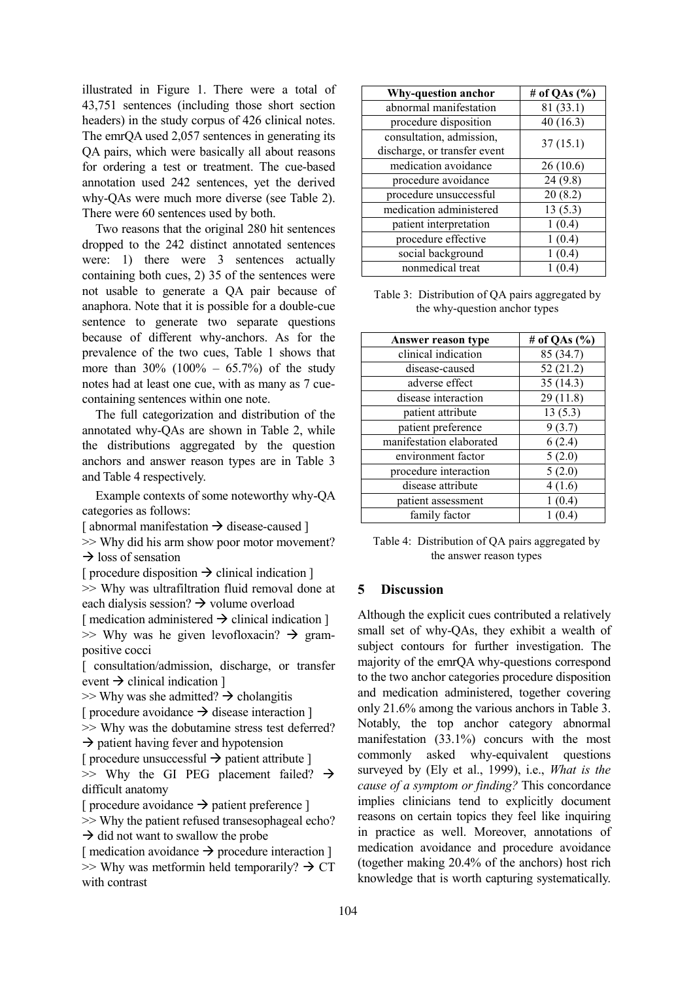illustrated in Figure 1. There were a total of 43,751 sentences (including those short section headers) in the study corpus of 426 clinical notes. The emrQA used 2,057 sentences in generating its QA pairs, which were basically all about reasons for ordering a test or treatment. The cue-based annotation used 242 sentences, yet the derived why-QAs were much more diverse (see Table 2). There were 60 sentences used by both.

Two reasons that the original 280 hit sentences dropped to the 242 distinct annotated sentences were: 1) there were 3 sentences actually containing both cues, 2) 35 of the sentences were not usable to generate a QA pair because of anaphora. Note that it is possible for a double-cue sentence to generate two separate questions because of different why-anchors. As for the prevalence of the two cues, Table 1 shows that more than  $30\%$  (100% – 65.7%) of the study notes had at least one cue, with as many as 7 cuecontaining sentences within one note.

The full categorization and distribution of the annotated why-QAs are shown in Table 2, while the distributions aggregated by the question anchors and answer reason types are in Table 3 and Table 4 respectively.

Example contexts of some noteworthy why-QA categories as follows:

[ abnormal manifestation  $\rightarrow$  disease-caused ]

>> Why did his arm show poor motor movement?  $\rightarrow$  loss of sensation

[ procedure disposition  $\rightarrow$  clinical indication ] >> Why was ultrafiltration fluid removal done at each dialysis session?  $\rightarrow$  volume overload

[ medication administered  $\rightarrow$  clinical indication ]  $\gg$  Why was he given levofloxacin?  $\rightarrow$  grampositive cocci

[ consultation/admission, discharge, or transfer event  $\rightarrow$  clinical indication ]

 $\gg$  Why was she admitted?  $\rightarrow$  cholangitis [ procedure avoidance  $\rightarrow$  disease interaction ] >> Why was the dobutamine stress test deferred?  $\rightarrow$  patient having fever and hypotension [ procedure unsuccessful  $\rightarrow$  patient attribute ]  $\gg$  Why the GI PEG placement failed?  $\rightarrow$ 

difficult anatomy

[ procedure avoidance  $\rightarrow$  patient preference ]

>> Why the patient refused transesophageal echo?  $\rightarrow$  did not want to swallow the probe

[ medication avoidance  $\rightarrow$  procedure interaction ]  $\gg$  Why was metformin held temporarily?  $\rightarrow$  CT with contrast

| <b>Why-question anchor</b>   | # of QAs $(\%$ |  |
|------------------------------|----------------|--|
| abnormal manifestation       | 81(33.1)       |  |
| procedure disposition        | 40(16.3)       |  |
| consultation, admission,     | 37(15.1)       |  |
| discharge, or transfer event |                |  |
| medication avoidance         | 26(10.6)       |  |
| procedure avoidance          | 24(9.8)        |  |
| procedure unsuccessful       | 20(8.2)        |  |
| medication administered      | 13(5.3)        |  |
| patient interpretation       | 1(0.4)         |  |
| procedure effective          | 1(0.4)         |  |
| social background            | 1(0.4)         |  |
| nonmedical treat             |                |  |

Table 3: Distribution of QA pairs aggregated by the why-question anchor types

| Answer reason type       | # of QAs $(\%$ |
|--------------------------|----------------|
| clinical indication      | 85 (34.7)      |
| disease-caused           | 52(21.2)       |
| adverse effect           | 35(14.3)       |
| disease interaction      | 29(11.8)       |
| patient attribute        | 13(5.3)        |
| patient preference       | 9(3.7)         |
| manifestation elaborated | 6(2.4)         |
| environment factor       | 5(2.0)         |
| procedure interaction    | 5(2.0)         |
| disease attribute        | 4(1.6)         |
| patient assessment       | 1(0.4)         |
| family factor            | 1(0.4)         |

Table 4: Distribution of QA pairs aggregated by the answer reason types

#### **5 Discussion**

Although the explicit cues contributed a relatively small set of why-QAs, they exhibit a wealth of subject contours for further investigation. The majority of the emrQA why-questions correspond to the two anchor categories procedure disposition and medication administered, together covering only 21.6% among the various anchors in Table 3. Notably, the top anchor category abnormal manifestation (33.1%) concurs with the most commonly asked why-equivalent questions surveyed by (Ely et al., 1999), i.e., *What is the cause of a symptom or finding?* This concordance implies clinicians tend to explicitly document reasons on certain topics they feel like inquiring in practice as well. Moreover, annotations of medication avoidance and procedure avoidance (together making 20.4% of the anchors) host rich knowledge that is worth capturing systematically.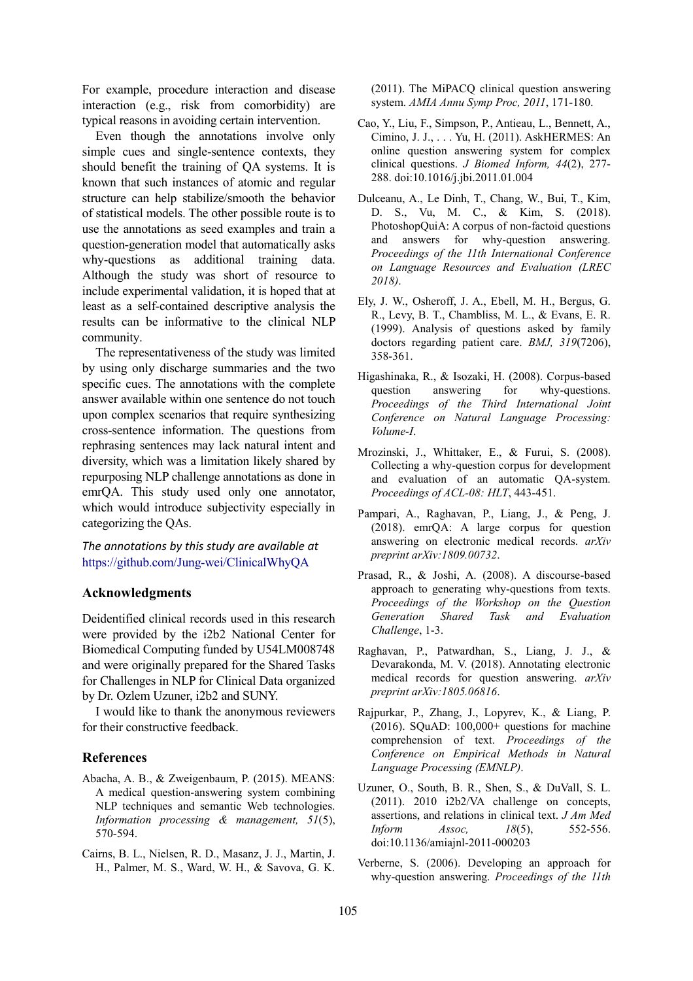For example, procedure interaction and disease interaction (e.g., risk from comorbidity) are typical reasons in avoiding certain intervention.

Even though the annotations involve only simple cues and single-sentence contexts, they should benefit the training of QA systems. It is known that such instances of atomic and regular structure can help stabilize/smooth the behavior of statistical models. The other possible route is to use the annotations as seed examples and train a question-generation model that automatically asks why-questions as additional training data. Although the study was short of resource to include experimental validation, it is hoped that at least as a self-contained descriptive analysis the results can be informative to the clinical NLP community.

The representativeness of the study was limited by using only discharge summaries and the two specific cues. The annotations with the complete answer available within one sentence do not touch upon complex scenarios that require synthesizing cross-sentence information. The questions from rephrasing sentences may lack natural intent and diversity, which was a limitation likely shared by repurposing NLP challenge annotations as done in emrQA. This study used only one annotator, which would introduce subjectivity especially in categorizing the QAs.

*The annotations by this study are available at* <https://github.com/Jung-wei/ClinicalWhyQA>

## **Acknowledgments**

Deidentified clinical records used in this research were provided by the i2b2 National Center for Biomedical Computing funded by U54LM008748 and were originally prepared for the Shared Tasks for Challenges in NLP for Clinical Data organized by Dr. Ozlem Uzuner, i2b2 and SUNY.

I would like to thank the anonymous reviewers for their constructive feedback.

#### **References**

- Abacha, A. B., & Zweigenbaum, P. (2015). MEANS: A medical question-answering system combining NLP techniques and semantic Web technologies. *Information processing & management, 51*(5), 570-594.
- Cairns, B. L., Nielsen, R. D., Masanz, J. J., Martin, J. H., Palmer, M. S., Ward, W. H., & Savova, G. K.

(2011). The MiPACQ clinical question answering system. *AMIA Annu Symp Proc, 2011*, 171-180.

- Cao, Y., Liu, F., Simpson, P., Antieau, L., Bennett, A., Cimino, J. J., . . . Yu, H. (2011). AskHERMES: An online question answering system for complex clinical questions. *J Biomed Inform, 44*(2), 277- 288. doi:10.1016/j.jbi.2011.01.004
- Dulceanu, A., Le Dinh, T., Chang, W., Bui, T., Kim, D. S., Vu, M. C., & Kim, S. (2018). PhotoshopQuiA: A corpus of non-factoid questions and answers for why-question answering. *Proceedings of the 11th International Conference on Language Resources and Evaluation (LREC 2018)*.
- Ely, J. W., Osheroff, J. A., Ebell, M. H., Bergus, G. R., Levy, B. T., Chambliss, M. L., & Evans, E. R. (1999). Analysis of questions asked by family doctors regarding patient care. *BMJ, 319*(7206), 358-361.
- Higashinaka, R., & Isozaki, H. (2008). Corpus-based question answering for why-questions. *Proceedings of the Third International Joint Conference on Natural Language Processing: Volume-I*.
- Mrozinski, J., Whittaker, E., & Furui, S. (2008). Collecting a why-question corpus for development and evaluation of an automatic QA-system. *Proceedings of ACL-08: HLT*, 443-451.
- Pampari, A., Raghavan, P., Liang, J., & Peng, J. (2018). emrQA: A large corpus for question answering on electronic medical records. *arXiv preprint arXiv:1809.00732*.
- Prasad, R., & Joshi, A. (2008). A discourse-based approach to generating why-questions from texts. *Proceedings of the Workshop on the Question Generation Shared Task and Evaluation Challenge*, 1-3.
- Raghavan, P., Patwardhan, S., Liang, J. J., & Devarakonda, M. V. (2018). Annotating electronic medical records for question answering. *arXiv preprint arXiv:1805.06816*.
- Rajpurkar, P., Zhang, J., Lopyrev, K., & Liang, P. (2016). SQuAD: 100,000+ questions for machine comprehension of text. *Proceedings of the Conference on Empirical Methods in Natural Language Processing (EMNLP)*.
- Uzuner, O., South, B. R., Shen, S., & DuVall, S. L. (2011). 2010 i2b2/VA challenge on concepts, assertions, and relations in clinical text. *J Am Med Inform Assoc, 18*(5), 552-556. doi:10.1136/amiajnl-2011-000203
- Verberne, S. (2006). Developing an approach for why-question answering. *Proceedings of the 11th*